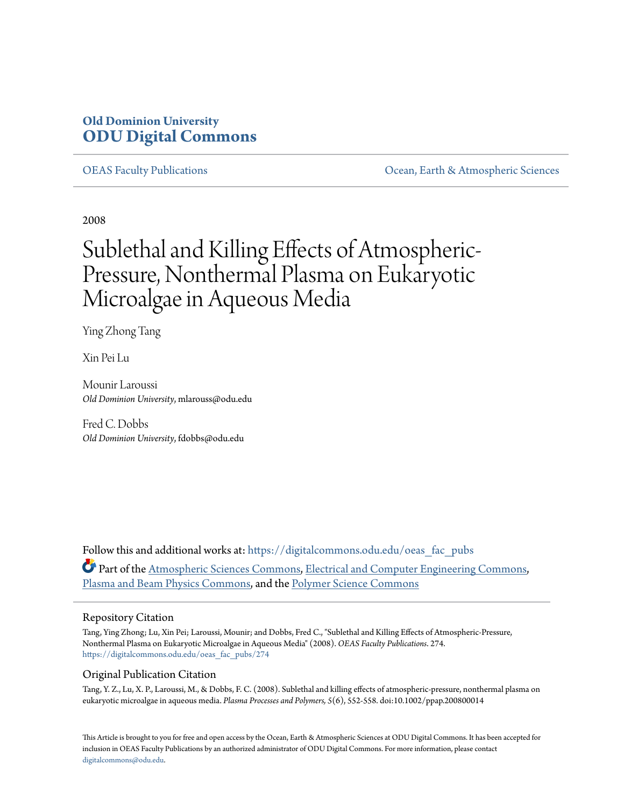# **Old Dominion University [ODU Digital Commons](https://digitalcommons.odu.edu?utm_source=digitalcommons.odu.edu%2Foeas_fac_pubs%2F274&utm_medium=PDF&utm_campaign=PDFCoverPages)**

[OEAS Faculty Publications](https://digitalcommons.odu.edu/oeas_fac_pubs?utm_source=digitalcommons.odu.edu%2Foeas_fac_pubs%2F274&utm_medium=PDF&utm_campaign=PDFCoverPages) [Ocean, Earth & Atmospheric Sciences](https://digitalcommons.odu.edu/oeas?utm_source=digitalcommons.odu.edu%2Foeas_fac_pubs%2F274&utm_medium=PDF&utm_campaign=PDFCoverPages)

2008

# Sublethal and Killing Effects of Atmospheric-Pressure, Nonthermal Plasma on Eukaryotic Microalgae in Aqueous Media

Ying Zhong Tang

Xin Pei Lu

Mounir Laroussi *Old Dominion University*, mlarouss@odu.edu

Fred C. Dobbs *Old Dominion University*, fdobbs@odu.edu

Follow this and additional works at: [https://digitalcommons.odu.edu/oeas\\_fac\\_pubs](https://digitalcommons.odu.edu/oeas_fac_pubs?utm_source=digitalcommons.odu.edu%2Foeas_fac_pubs%2F274&utm_medium=PDF&utm_campaign=PDFCoverPages) Part of the [Atmospheric Sciences Commons,](http://network.bepress.com/hgg/discipline/187?utm_source=digitalcommons.odu.edu%2Foeas_fac_pubs%2F274&utm_medium=PDF&utm_campaign=PDFCoverPages) [Electrical and Computer Engineering Commons](http://network.bepress.com/hgg/discipline/266?utm_source=digitalcommons.odu.edu%2Foeas_fac_pubs%2F274&utm_medium=PDF&utm_campaign=PDFCoverPages), [Plasma and Beam Physics Commons,](http://network.bepress.com/hgg/discipline/205?utm_source=digitalcommons.odu.edu%2Foeas_fac_pubs%2F274&utm_medium=PDF&utm_campaign=PDFCoverPages) and the [Polymer Science Commons](http://network.bepress.com/hgg/discipline/246?utm_source=digitalcommons.odu.edu%2Foeas_fac_pubs%2F274&utm_medium=PDF&utm_campaign=PDFCoverPages)

## Repository Citation

Tang, Ying Zhong; Lu, Xin Pei; Laroussi, Mounir; and Dobbs, Fred C., "Sublethal and Killing Effects of Atmospheric-Pressure, Nonthermal Plasma on Eukaryotic Microalgae in Aqueous Media" (2008). *OEAS Faculty Publications*. 274. [https://digitalcommons.odu.edu/oeas\\_fac\\_pubs/274](https://digitalcommons.odu.edu/oeas_fac_pubs/274?utm_source=digitalcommons.odu.edu%2Foeas_fac_pubs%2F274&utm_medium=PDF&utm_campaign=PDFCoverPages)

# Original Publication Citation

Tang, Y. Z., Lu, X. P., Laroussi, M., & Dobbs, F. C. (2008). Sublethal and killing effects of atmospheric-pressure, nonthermal plasma on eukaryotic microalgae in aqueous media. *Plasma Processes and Polymers, 5*(6), 552-558. doi:10.1002/ppap.200800014

This Article is brought to you for free and open access by the Ocean, Earth & Atmospheric Sciences at ODU Digital Commons. It has been accepted for inclusion in OEAS Faculty Publications by an authorized administrator of ODU Digital Commons. For more information, please contact [digitalcommons@odu.edu.](mailto:digitalcommons@odu.edu)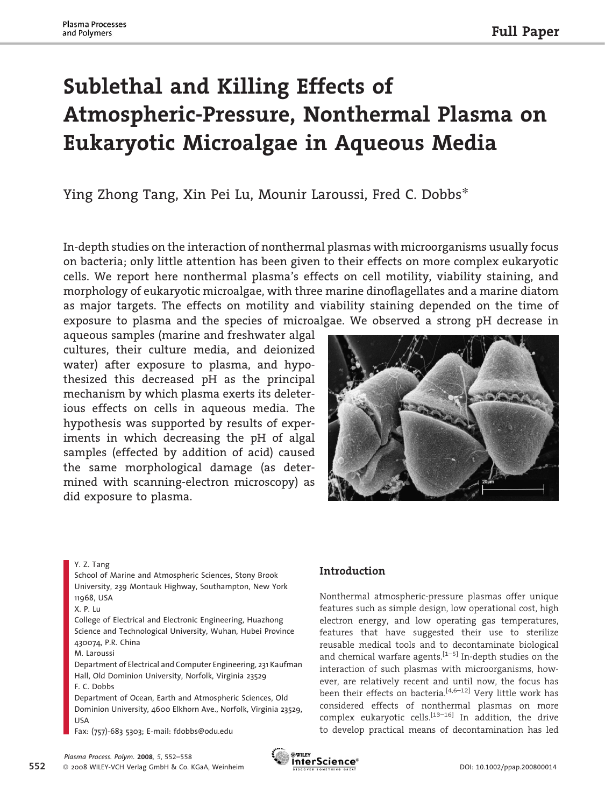# Sublethal and Killing Effects of Atmospheric-Pressure, Nonthermal Plasma on Eukaryotic Microalgae in Aqueous Media

Ying Zhong Tang, Xin Pei Lu, Mounir Laroussi, Fred C. Dobbs*\**

In-depth studies on the interaction of nonthermal plasmas with microorganisms usually focus on bacteria; only little attention has been given to their effects on more complex eukaryotic cells. We report here nonthermal plasma's effects on cell motility, viability staining, and morphology of eukaryotic microalgae, with three marine dinoflagellates and a marine diatom as major targets. The effects on motility and viability staining depended on the time of exposure to plasma and the species of microalgae. We observed a strong pH decrease in

aqueous samples (marine and freshwater algal cultures, their culture media, and deionized water) after exposure to plasma, and hypothesized this decreased pH as the principal mechanism by which plasma exerts its deleterious effects on cells in aqueous media. The hypothesis was supported by results of experiments in which decreasing the pH of algal samples (effected by addition of acid) caused the same morphological damage (as determined with scanning-electron microscopy) as did exposure to plasma.



Y. Z. Tang

School of Marine and Atmospheric Sciences, Stony Brook University, 239 Montauk Highway, Southampton, New York 11968, USA

College of Electrical and Electronic Engineering, Huazhong Science and Technological University, Wuhan, Hubei Province 430074, P.R. China

M. Laroussi

Department of Electrical and Computer Engineering, 231 Kaufman Hall, Old Dominion University, Norfolk, Virginia 23529 F. C. Dobbs

Department of Ocean, Earth and Atmospheric Sciences, Old Dominion University, 4600 Elkhorn Ave., Norfolk, Virginia 23529, USA

Fax: (757)-683 5303; E-mail: fdobbs@odu.edu

# Introduction

Nonthermal atmospheric-pressure plasmas offer unique features such as simple design, low operational cost, high electron energy, and low operating gas temperatures, features that have suggested their use to sterilize reusable medical tools and to decontaminate biological and chemical warfare agents.<sup>[1-5]</sup> In-depth studies on the interaction of such plasmas with microorganisms, however, are relatively recent and until now, the focus has been their effects on bacteria.<sup>[4,6–12]</sup> Very little work has considered effects of nonthermal plasmas on more complex eukaryotic cells.<sup>[13–16]</sup> In addition, the drive to develop practical means of decontamination has led



X. P. Lu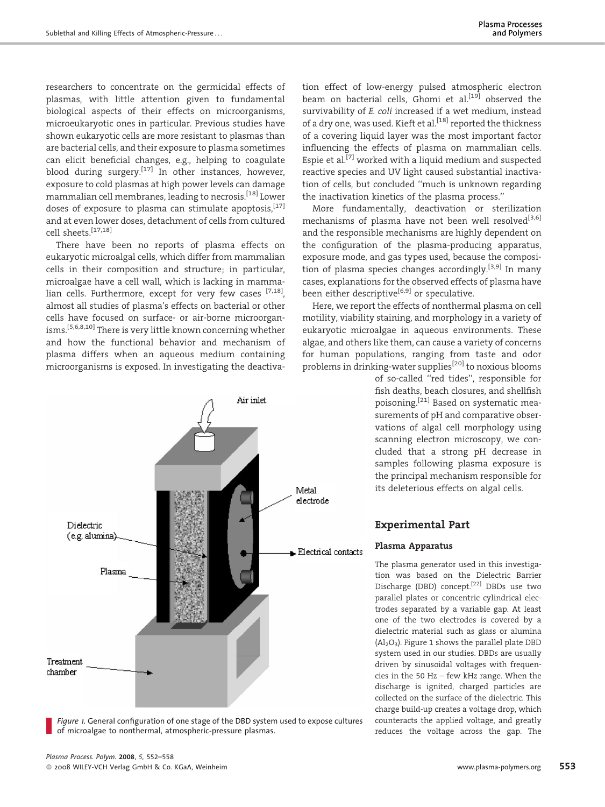researchers to concentrate on the germicidal effects of plasmas, with little attention given to fundamental biological aspects of their effects on microorganisms, microeukaryotic ones in particular. Previous studies have shown eukaryotic cells are more resistant to plasmas than are bacterial cells, and their exposure to plasma sometimes can elicit beneficial changes, e.g., helping to coagulate blood during surgery.<sup>[17]</sup> In other instances, however, exposure to cold plasmas at high power levels can damage mammalian cell membranes, leading to necrosis.[18] Lower doses of exposure to plasma can stimulate apoptosis,  $[17]$ and at even lower doses, detachment of cells from cultured cell sheets.[17,18]

There have been no reports of plasma effects on eukaryotic microalgal cells, which differ from mammalian cells in their composition and structure; in particular, microalgae have a cell wall, which is lacking in mammalian cells. Furthermore, except for very few cases [7,18], almost all studies of plasma's effects on bacterial or other cells have focused on surface- or air-borne microorganisms.[5,6,8,10] There is very little known concerning whether and how the functional behavior and mechanism of plasma differs when an aqueous medium containing microorganisms is exposed. In investigating the deactiva-



Figure 1. General configuration of one stage of the DBD system used to expose cultures of microalgae to nonthermal, atmospheric-pressure plasmas.

tion effect of low-energy pulsed atmospheric electron beam on bacterial cells, Ghomi et al. $[19]$  observed the survivability of E. coli increased if a wet medium, instead of a dry one, was used. Kieft et al.<sup>[18]</sup> reported the thickness of a covering liquid layer was the most important factor influencing the effects of plasma on mammalian cells. Espie et al.<sup>[7]</sup> worked with a liquid medium and suspected reactive species and UV light caused substantial inactivation of cells, but concluded ''much is unknown regarding the inactivation kinetics of the plasma process.''

More fundamentally, deactivation or sterilization mechanisms of plasma have not been well resolved<sup>[3,6]</sup> and the responsible mechanisms are highly dependent on the configuration of the plasma-producing apparatus, exposure mode, and gas types used, because the composition of plasma species changes accordingly.[3,9] In many cases, explanations for the observed effects of plasma have been either descriptive<sup>[6,9]</sup> or speculative.

Here, we report the effects of nonthermal plasma on cell motility, viability staining, and morphology in a variety of eukaryotic microalgae in aqueous environments. These algae, and others like them, can cause a variety of concerns for human populations, ranging from taste and odor problems in drinking-water supplies<sup>[20]</sup> to noxious blooms

of so-called ''red tides'', responsible for fish deaths, beach closures, and shellfish poisoning.[21] Based on systematic measurements of pH and comparative observations of algal cell morphology using scanning electron microscopy, we concluded that a strong pH decrease in samples following plasma exposure is the principal mechanism responsible for its deleterious effects on algal cells.

# Experimental Part

#### Plasma Apparatus

The plasma generator used in this investigation was based on the Dielectric Barrier Discharge (DBD) concept.[22] DBDs use two parallel plates or concentric cylindrical electrodes separated by a variable gap. At least one of the two electrodes is covered by a dielectric material such as glass or alumina  $(Al_2O_3)$ . Figure 1 shows the parallel plate DBD system used in our studies. DBDs are usually driven by sinusoidal voltages with frequencies in the 50 Hz – few kHz range. When the discharge is ignited, charged particles are collected on the surface of the dielectric. This charge build-up creates a voltage drop, which counteracts the applied voltage, and greatly reduces the voltage across the gap. The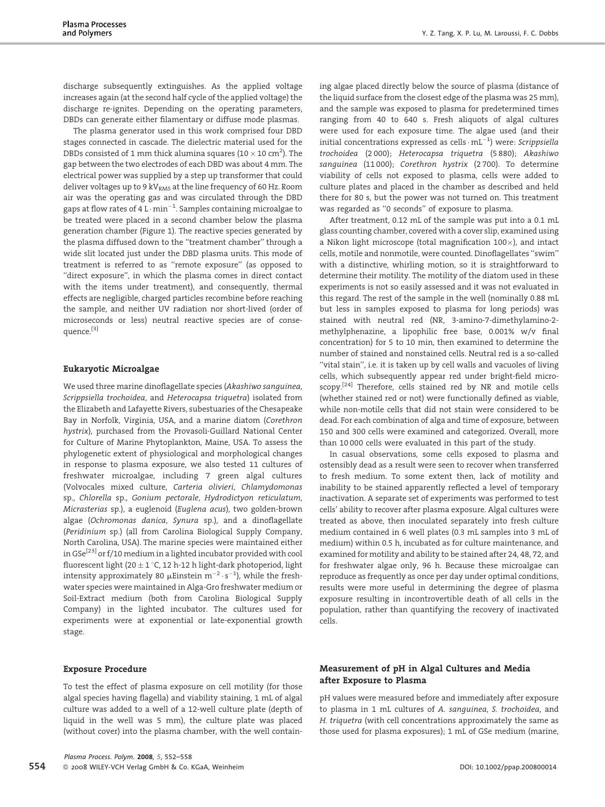discharge subsequently extinguishes. As the applied voltage increases again (at the second half cycle of the applied voltage) the discharge re-ignites. Depending on the operating parameters, DBDs can generate either filamentary or diffuse mode plasmas.

The plasma generator used in this work comprised four DBD stages connected in cascade. The dielectric material used for the DBDs consisted of 1 mm thick alumina squares (10  $\times$  10 cm<sup>2</sup>). The gap between the two electrodes of each DBD was about 4 mm. The electrical power was supplied by a step up transformer that could deliver voltages up to 9 kV $_{RMS}$  at the line frequency of 60 Hz. Room air was the operating gas and was circulated through the DBD gaps at flow rates of 4 L  $\cdot$  min $^{-1}$ . Samples containing microalgae to be treated were placed in a second chamber below the plasma generation chamber (Figure 1). The reactive species generated by the plasma diffused down to the ''treatment chamber'' through a wide slit located just under the DBD plasma units. This mode of treatment is referred to as ''remote exposure'' (as opposed to ''direct exposure'', in which the plasma comes in direct contact with the items under treatment), and consequently, thermal effects are negligible, charged particles recombine before reaching the sample, and neither UV radiation nor short-lived (order of microseconds or less) neutral reactive species are of consequence.[3]

#### Eukaryotic Microalgae

We used three marine dinoflagellate species (Akashiwo sanguinea, Scrippsiella trochoidea, and Heterocapsa triquetra) isolated from the Elizabeth and Lafayette Rivers, subestuaries of the Chesapeake Bay in Norfolk, Virginia, USA, and a marine diatom (Corethron hystrix), purchased from the Provasoli-Guillard National Center for Culture of Marine Phytoplankton, Maine, USA. To assess the phylogenetic extent of physiological and morphological changes in response to plasma exposure, we also tested 11 cultures of freshwater microalgae, including 7 green algal cultures (Volvocales mixed culture, Carteria olivieri, Chlamydomonas sp., Chlorella sp., Gonium pectorale, Hydrodictyon reticulatum, Micrasterias sp.), a euglenoid (Euglena acus), two golden-brown algae (Ochromonas danica, Synura sp.), and a dinoflagellate (Peridinium sp.) (all from Carolina Biological Supply Company, North Carolina, USA). The marine species were maintained either in GSe<sup>[23]</sup> or f/10 medium in a lighted incubator provided with cool fluorescent light (20  $\pm$  1 °C, 12 h-12 h light-dark photoperiod, light intensity approximately 80  $\mu$ Einstein m $^{-2}\cdot$ s $^{-1}$ ), while the freshwater species were maintained in Alga-Gro freshwater medium or Soil-Extract medium (both from Carolina Biological Supply Company) in the lighted incubator. The cultures used for experiments were at exponential or late-exponential growth stage.

#### ing algae placed directly below the source of plasma (distance of the liquid surface from the closest edge of the plasma was 25 mm), and the sample was exposed to plasma for predetermined times ranging from 40 to 640 s. Fresh aliquots of algal cultures were used for each exposure time. The algae used (and their initial concentrations expressed as cells  $\cdot$  mL $^{-1}$ ) were: *Scrippsiella* trochoidea (2 000); Heterocapsa triquetra (5 880); Akashiwo sanguinea (11 000); Corethron hystrix (2 700). To determine viability of cells not exposed to plasma, cells were added to culture plates and placed in the chamber as described and held there for 80 s, but the power was not turned on. This treatment was regarded as ''0 seconds'' of exposure to plasma.

After treatment, 0.12 mL of the sample was put into a 0.1 mL glass counting chamber, covered with a cover slip, examined using a Nikon light microscope (total magnification  $100\times$ ), and intact cells, motile and nonmotile, were counted. Dinoflagellates ''swim'' with a distinctive, whirling motion, so it is straightforward to determine their motility. The motility of the diatom used in these experiments is not so easily assessed and it was not evaluated in this regard. The rest of the sample in the well (nominally 0.88 mL but less in samples exposed to plasma for long periods) was stained with neutral red (NR, 3-amino-7-dimethylamino-2 methylphenazine, a lipophilic free base, 0.001% w/v final concentration) for 5 to 10 min, then examined to determine the number of stained and nonstained cells. Neutral red is a so-called ''vital stain'', i.e. it is taken up by cell walls and vacuoles of living cells, which subsequently appear red under bright-field microscopy.<sup>[24]</sup> Therefore, cells stained red by NR and motile cells (whether stained red or not) were functionally defined as viable, while non-motile cells that did not stain were considered to be dead. For each combination of alga and time of exposure, between 150 and 300 cells were examined and categorized. Overall, more than 10 000 cells were evaluated in this part of the study.

In casual observations, some cells exposed to plasma and ostensibly dead as a result were seen to recover when transferred to fresh medium. To some extent then, lack of motility and inability to be stained apparently reflected a level of temporary inactivation. A separate set of experiments was performed to test cells' ability to recover after plasma exposure. Algal cultures were treated as above, then inoculated separately into fresh culture medium contained in 6 well plates (0.3 mL samples into 3 mL of medium) within 0.5 h, incubated as for culture maintenance, and examined for motility and ability to be stained after 24, 48, 72, and for freshwater algae only, 96 h. Because these microalgae can reproduce as frequently as once per day under optimal conditions, results were more useful in determining the degree of plasma exposure resulting in incontrovertible death of all cells in the population, rather than quantifying the recovery of inactivated cells.

#### Exposure Procedure

To test the effect of plasma exposure on cell motility (for those algal species having flagella) and viability staining, 1 mL of algal culture was added to a well of a 12-well culture plate (depth of liquid in the well was 5 mm), the culture plate was placed (without cover) into the plasma chamber, with the well contain-

### Measurement of pH in Algal Cultures and Media after Exposure to Plasma

pH values were measured before and immediately after exposure to plasma in 1 mL cultures of A. sanguinea, S. trochoidea, and H. triquetra (with cell concentrations approximately the same as those used for plasma exposures); 1 mL of GSe medium (marine,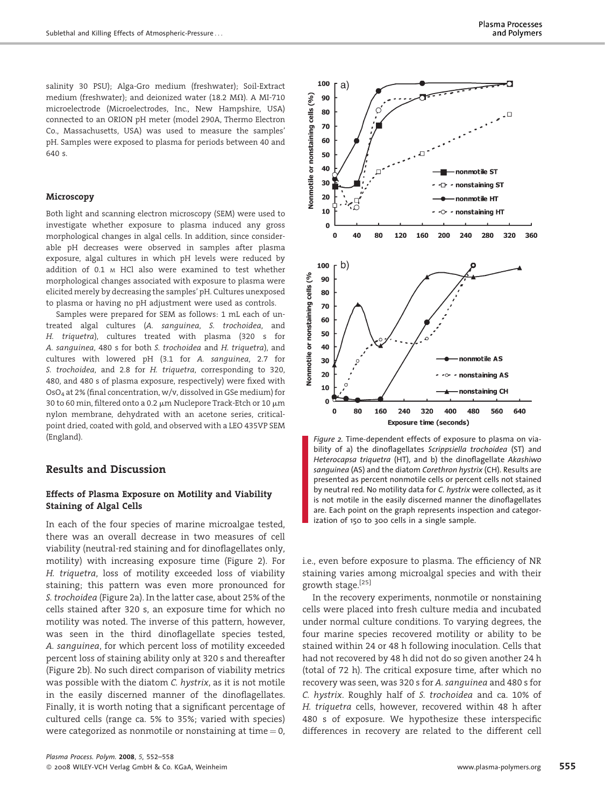salinity 30 PSU); Alga-Gro medium (freshwater); Soil-Extract medium (freshwater); and deionized water (18.2 M $\Omega$ ). A MI-710 microelectrode (Microelectrodes, Inc., New Hampshire, USA) connected to an ORION pH meter (model 290A, Thermo Electron Co., Massachusetts, USA) was used to measure the samples' pH. Samples were exposed to plasma for periods between 40 and 640 s.

#### Microscopy

Both light and scanning electron microscopy (SEM) were used to investigate whether exposure to plasma induced any gross morphological changes in algal cells. In addition, since considerable pH decreases were observed in samples after plasma exposure, algal cultures in which pH levels were reduced by addition of 0.1 <sup>M</sup> HCl also were examined to test whether morphological changes associated with exposure to plasma were elicited merely by decreasing the samples' pH. Cultures unexposed to plasma or having no pH adjustment were used as controls.

Samples were prepared for SEM as follows: 1 mL each of untreated algal cultures (A. sanguinea, S. trochoidea, and H. triquetra), cultures treated with plasma (320 s for A. sanguinea, 480 s for both S. trochoidea and H. triquetra), and cultures with lowered pH (3.1 for A. sanguinea, 2.7 for S. trochoidea, and 2.8 for H. triquetra, corresponding to 320, 480, and 480 s of plasma exposure, respectively) were fixed with OsO4 at 2% (final concentration, w/v, dissolved in GSe medium) for 30 to 60 min, filtered onto a 0.2  $\mu$ m Nuclepore Track-Etch or 10  $\mu$ m nylon membrane, dehydrated with an acetone series, criticalpoint dried, coated with gold, and observed with a LEO 435VP SEM (England).

# Results and Discussion

#### Effects of Plasma Exposure on Motility and Viability Staining of Algal Cells

In each of the four species of marine microalgae tested, there was an overall decrease in two measures of cell viability (neutral-red staining and for dinoflagellates only, motility) with increasing exposure time (Figure 2). For H. triquetra, loss of motility exceeded loss of viability staining; this pattern was even more pronounced for S. trochoidea (Figure 2a). In the latter case, about 25% of the cells stained after 320 s, an exposure time for which no motility was noted. The inverse of this pattern, however, was seen in the third dinoflagellate species tested, A. sanguinea, for which percent loss of motility exceeded percent loss of staining ability only at 320 s and thereafter (Figure 2b). No such direct comparison of viability metrics was possible with the diatom C. hystrix, as it is not motile in the easily discerned manner of the dinoflagellates. Finally, it is worth noting that a significant percentage of cultured cells (range ca. 5% to 35%; varied with species) were categorized as nonmotile or nonstaining at time  $= 0$ ,



Figure 2. Time-dependent effects of exposure to plasma on viability of a) the dinoflagellates Scrippsiella trochoidea (ST) and Heterocapsa triquetra (HT), and b) the dinoflagellate Akashiwo sanguinea (AS) and the diatom Corethron hystrix (CH). Results are presented as percent nonmotile cells or percent cells not stained by neutral red. No motility data for C. hystrix were collected, as it is not motile in the easily discerned manner the dinoflagellates are. Each point on the graph represents inspection and categorization of 150 to 300 cells in a single sample.

i.e., even before exposure to plasma. The efficiency of NR staining varies among microalgal species and with their growth stage.[25]

In the recovery experiments, nonmotile or nonstaining cells were placed into fresh culture media and incubated under normal culture conditions. To varying degrees, the four marine species recovered motility or ability to be stained within 24 or 48 h following inoculation. Cells that had not recovered by 48 h did not do so given another 24 h (total of 72 h). The critical exposure time, after which no recovery was seen, was 320 s for A. sanguinea and 480 s for C. hystrix. Roughly half of S. trochoidea and ca. 10% of H. triquetra cells, however, recovered within 48 h after 480 s of exposure. We hypothesize these interspecific differences in recovery are related to the different cell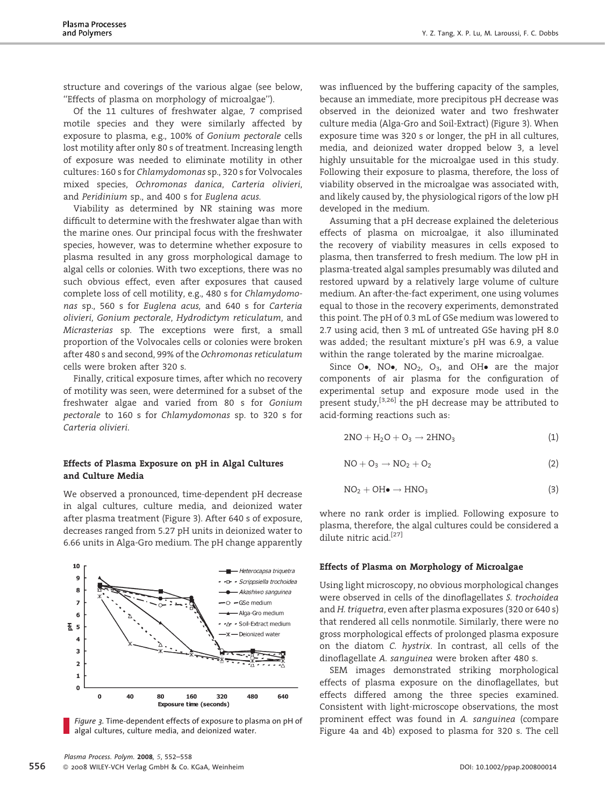structure and coverings of the various algae (see below, ''Effects of plasma on morphology of microalgae'').

Of the 11 cultures of freshwater algae, 7 comprised motile species and they were similarly affected by exposure to plasma, e.g., 100% of Gonium pectorale cells lost motility after only 80 s of treatment. Increasing length of exposure was needed to eliminate motility in other cultures: 160 s for Chlamydomonas sp., 320 s for Volvocales mixed species, Ochromonas danica, Carteria olivieri, and Peridinium sp., and 400 s for Euglena acus.

Viability as determined by NR staining was more difficult to determine with the freshwater algae than with the marine ones. Our principal focus with the freshwater species, however, was to determine whether exposure to plasma resulted in any gross morphological damage to algal cells or colonies. With two exceptions, there was no such obvious effect, even after exposures that caused complete loss of cell motility, e.g., 480 s for Chlamydomonas sp., 560 s for Euglena acus, and 640 s for Carteria olivieri, Gonium pectorale, Hydrodictym reticulatum, and Micrasterias sp. The exceptions were first, a small proportion of the Volvocales cells or colonies were broken after 480 s and second, 99% of the Ochromonas reticulatum cells were broken after 320 s.

Finally, critical exposure times, after which no recovery of motility was seen, were determined for a subset of the freshwater algae and varied from 80 s for Gonium pectorale to 160 s for Chlamydomonas sp. to 320 s for Carteria olivieri.

#### Effects of Plasma Exposure on pH in Algal Cultures and Culture Media

We observed a pronounced, time-dependent pH decrease in algal cultures, culture media, and deionized water after plasma treatment (Figure 3). After 640 s of exposure, decreases ranged from 5.27 pH units in deionized water to 6.66 units in Alga-Gro medium. The pH change apparently



Figure 3. Time-dependent effects of exposure to plasma on pH of algal cultures, culture media, and deionized water.

was influenced by the buffering capacity of the samples, because an immediate, more precipitous pH decrease was observed in the deionized water and two freshwater culture media (Alga-Gro and Soil-Extract) (Figure 3). When exposure time was 320 s or longer, the pH in all cultures, media, and deionized water dropped below 3, a level highly unsuitable for the microalgae used in this study. Following their exposure to plasma, therefore, the loss of viability observed in the microalgae was associated with, and likely caused by, the physiological rigors of the low pH developed in the medium.

Assuming that a pH decrease explained the deleterious effects of plasma on microalgae, it also illuminated the recovery of viability measures in cells exposed to plasma, then transferred to fresh medium. The low pH in plasma-treated algal samples presumably was diluted and restored upward by a relatively large volume of culture medium. An after-the-fact experiment, one using volumes equal to those in the recovery experiments, demonstrated this point. The pH of 0.3 mL of GSe medium was lowered to 2.7 using acid, then 3 mL of untreated GSe having pH 8.0 was added; the resultant mixture's pH was 6.9, a value within the range tolerated by the marine microalgae.

Since O., NO., NO<sub>2</sub>, O<sub>3</sub>, and OH. are the major components of air plasma for the configuration of experimental setup and exposure mode used in the present study,<sup>[3,26]</sup> the pH decrease may be attributed to acid-forming reactions such as:

$$
2NO + H_2O + O_3 \rightarrow 2HNO_3 \tag{1}
$$

$$
NO + O_3 \rightarrow NO_2 + O_2 \tag{2}
$$

$$
NO2 + OH\bullet \rightarrow HNO3
$$
 (3)

where no rank order is implied. Following exposure to plasma, therefore, the algal cultures could be considered a dilute nitric acid.<sup>[27]</sup>

#### Effects of Plasma on Morphology of Microalgae

Using light microscopy, no obvious morphological changes were observed in cells of the dinoflagellates S. trochoidea and H. triquetra, even after plasma exposures (320 or 640 s) that rendered all cells nonmotile. Similarly, there were no gross morphological effects of prolonged plasma exposure on the diatom C. hystrix. In contrast, all cells of the dinoflagellate A. sanguinea were broken after 480 s.

SEM images demonstrated striking morphological effects of plasma exposure on the dinoflagellates, but effects differed among the three species examined. Consistent with light-microscope observations, the most prominent effect was found in A. sanguinea (compare Figure 4a and 4b) exposed to plasma for 320 s. The cell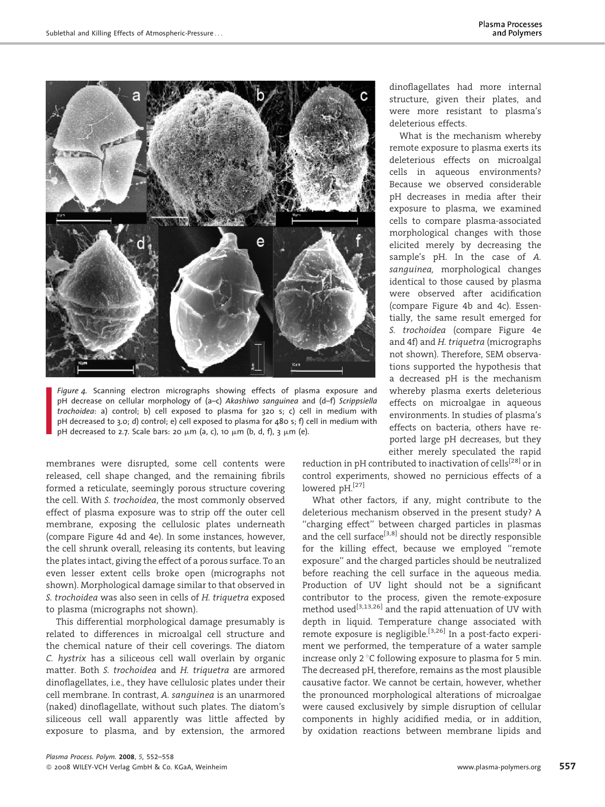

Figure 4. Scanning electron micrographs showing effects of plasma exposure and pH decrease on cellular morphology of (a–c) Akashiwo sanguinea and (d–f) Scrippsiella trochoidea: a) control; b) cell exposed to plasma for 320 s; c) cell in medium with pH decreased to 3.0; d) control; e) cell exposed to plasma for 480 s; f) cell in medium with pH decreased to 2.7. Scale bars: 20  $\mu$ m (a, c), 10  $\mu$ m (b, d, f), 3  $\mu$ m (e).

membranes were disrupted, some cell contents were released, cell shape changed, and the remaining fibrils formed a reticulate, seemingly porous structure covering the cell. With S. trochoidea, the most commonly observed effect of plasma exposure was to strip off the outer cell membrane, exposing the cellulosic plates underneath (compare Figure 4d and 4e). In some instances, however, the cell shrunk overall, releasing its contents, but leaving the plates intact, giving the effect of a porous surface. To an even lesser extent cells broke open (micrographs not shown). Morphological damage similar to that observed in S. trochoidea was also seen in cells of H. triquetra exposed to plasma (micrographs not shown).

This differential morphological damage presumably is related to differences in microalgal cell structure and the chemical nature of their cell coverings. The diatom C. hystrix has a siliceous cell wall overlain by organic matter. Both S. trochoidea and H. triquetra are armored dinoflagellates, i.e., they have cellulosic plates under their cell membrane. In contrast, A. sanguinea is an unarmored (naked) dinoflagellate, without such plates. The diatom's siliceous cell wall apparently was little affected by exposure to plasma, and by extension, the armored dinoflagellates had more internal structure, given their plates, and were more resistant to plasma's deleterious effects.

What is the mechanism whereby remote exposure to plasma exerts its deleterious effects on microalgal cells in aqueous environments? Because we observed considerable pH decreases in media after their exposure to plasma, we examined cells to compare plasma-associated morphological changes with those elicited merely by decreasing the sample's pH. In the case of A. sanguinea, morphological changes identical to those caused by plasma were observed after acidification (compare Figure 4b and 4c). Essentially, the same result emerged for S. trochoidea (compare Figure 4e and 4f) and H. triquetra (micrographs not shown). Therefore, SEM observations supported the hypothesis that a decreased pH is the mechanism whereby plasma exerts deleterious effects on microalgae in aqueous environments. In studies of plasma's effects on bacteria, others have reported large pH decreases, but they either merely speculated the rapid

reduction in pH contributed to inactivation of cells<sup>[28]</sup> or in control experiments, showed no pernicious effects of a lowered pH.<sup>[27]</sup>

What other factors, if any, might contribute to the deleterious mechanism observed in the present study? A ''charging effect'' between charged particles in plasmas and the cell surface<sup>[3,8]</sup> should not be directly responsible for the killing effect, because we employed ''remote exposure'' and the charged particles should be neutralized before reaching the cell surface in the aqueous media. Production of UV light should not be a significant contributor to the process, given the remote-exposure method used[3,13,26] and the rapid attenuation of UV with depth in liquid. Temperature change associated with remote exposure is negligible.<sup>[3,26]</sup> In a post-facto experiment we performed, the temperature of a water sample increase only  $2^{\circ}$ C following exposure to plasma for 5 min. The decreased pH, therefore, remains as the most plausible causative factor. We cannot be certain, however, whether the pronounced morphological alterations of microalgae were caused exclusively by simple disruption of cellular components in highly acidified media, or in addition, by oxidation reactions between membrane lipids and